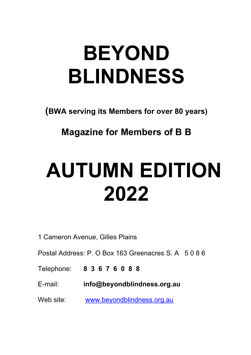## **BEYOND BLINDNESS**

**(BWA serving its Members for over 80 years)**

**Magazine for Members of B B** 

# **AUTUMN EDITION 2022**

1 Cameron Avenue, Gilles Plains

Postal Address: P. O Box 163 Greenacres S. A 5 0 8 6

Telephone: **8 3 6 7 6 0 8 8** 

E-mail: **info@beyondblindness.org.au**

Web site: www.beyondblindness.org.au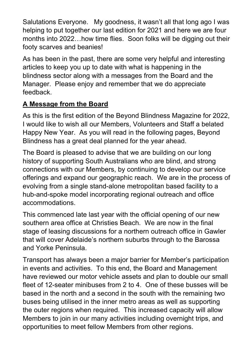Salutations Everyone. My goodness, it wasn't all that long ago I was helping to put together our last edition for 2021 and here we are four months into 2022…how time flies. Soon folks will be digging out their footy scarves and beanies!

As has been in the past, there are some very helpful and interesting articles to keep you up to date with what is happening in the blindness sector along with a messages from the Board and the Manager. Please enjoy and remember that we do appreciate feedback.

## **A Message from the Board**

As this is the first edition of the Beyond Blindness Magazine for 2022, I would like to wish all our Members, Volunteers and Staff a belated Happy New Year. As you will read in the following pages, Beyond Blindness has a great deal planned for the year ahead.

The Board is pleased to advise that we are building on our long history of supporting South Australians who are blind, and strong connections with our Members, by continuing to develop our service offerings and expand our geographic reach. We are in the process of evolving from a single stand-alone metropolitan based facility to a hub-and-spoke model incorporating regional outreach and office accommodations.

This commenced late last year with the official opening of our new southern area office at Christies Beach. We are now in the final stage of leasing discussions for a northern outreach office in Gawler that will cover Adelaide's northern suburbs through to the Barossa and Yorke Peninsula.

Transport has always been a major barrier for Member's participation in events and activities. To this end, the Board and Management have reviewed our motor vehicle assets and plan to double our small fleet of 12-seater minibuses from 2 to 4. One of these busses will be based in the north and a second in the south with the remaining two buses being utilised in the inner metro areas as well as supporting the outer regions when required. This increased capacity will allow Members to join in our many activities including overnight trips, and opportunities to meet fellow Members from other regions.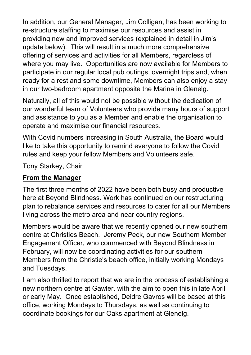In addition, our General Manager, Jim Colligan, has been working to re-structure staffing to maximise our resources and assist in providing new and improved services (explained in detail in Jim's update below). This will result in a much more comprehensive offering of services and activities for all Members, regardless of where you may live. Opportunities are now available for Members to participate in our regular local pub outings, overnight trips and, when ready for a rest and some downtime, Members can also enjoy a stay in our two-bedroom apartment opposite the Marina in Glenelg.

Naturally, all of this would not be possible without the dedication of our wonderful team of Volunteers who provide many hours of support and assistance to you as a Member and enable the organisation to operate and maximise our financial resources.

With Covid numbers increasing in South Australia, the Board would like to take this opportunity to remind everyone to follow the Covid rules and keep your fellow Members and Volunteers safe.

Tony Starkey, Chair

#### **From the Manager**

The first three months of 2022 have been both busy and productive here at Beyond Blindness. Work has continued on our restructuring plan to rebalance services and resources to cater for all our Members living across the metro area and near country regions.

Members would be aware that we recently opened our new southern centre at Christies Beach. Jeremy Peck, our new Southern Member Engagement Officer, who commenced with Beyond Blindness in February, will now be coordinating activities for our southern Members from the Christie's beach office, initially working Mondays and Tuesdays.

I am also thrilled to report that we are in the process of establishing a new northern centre at Gawler, with the aim to open this in late April or early May. Once established, Deidre Gavros will be based at this office, working Mondays to Thursdays, as well as continuing to coordinate bookings for our Oaks apartment at Glenelg.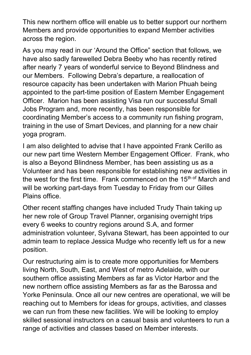This new northern office will enable us to better support our northern Members and provide opportunities to expand Member activities across the region.

As you may read in our 'Around the Office" section that follows, we have also sadly farewelled Debra Beeby who has recently retired after nearly 7 years of wonderful service to Beyond Blindness and our Members. Following Debra's departure, a reallocation of resource capacity has been undertaken with Marion Phuah being appointed to the part-time position of Eastern Member Engagement Officer. Marion has been assisting Visa run our successful Small Jobs Program and, more recently, has been responsible for coordinating Member's access to a community run fishing program, training in the use of Smart Devices, and planning for a new chair yoga program.

I am also delighted to advise that I have appointed Frank Cerillo as our new part time Western Member Engagement Officer. Frank, who is also a Beyond Blindness Member, has been assisting us as a Volunteer and has been responsible for establishing new activities in the west for the first time. Frank commenced on the 15<sup>th of</sup> March and will be working part-days from Tuesday to Friday from our Gilles Plains office.

Other recent staffing changes have included Trudy Thain taking up her new role of Group Travel Planner, organising overnight trips every 6 weeks to country regions around S.A, and former administration volunteer, Sylvana Stewart, has been appointed to our admin team to replace Jessica Mudge who recently left us for a new position.

Our restructuring aim is to create more opportunities for Members living North, South, East, and West of metro Adelaide, with our southern office assisting Members as far as Victor Harbor and the new northern office assisting Members as far as the Barossa and Yorke Peninsula. Once all our new centres are operational, we will be reaching out to Members for ideas for groups, activities, and classes we can run from these new facilities. We will be looking to employ skilled sessional instructors on a casual basis and volunteers to run a range of activities and classes based on Member interests.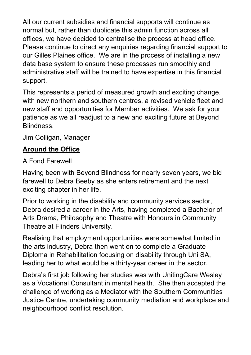All our current subsidies and financial supports will continue as normal but, rather than duplicate this admin function across all offices, we have decided to centralise the process at head office. Please continue to direct any enquiries regarding financial support to our Gilles Plaines office. We are in the process of installing a new data base system to ensure these processes run smoothly and administrative staff will be trained to have expertise in this financial support.

This represents a period of measured growth and exciting change, with new northern and southern centres, a revised vehicle fleet and new staff and opportunities for Member activities. We ask for your patience as we all readjust to a new and exciting future at Beyond Blindness.

Jim Colligan, Manager

#### **Around the Office**

#### A Fond Farewell

Having been with Beyond Blindness for nearly seven years, we bid farewell to Debra Beeby as she enters retirement and the next exciting chapter in her life.

Prior to working in the disability and community services sector, Debra desired a career in the Arts, having completed a Bachelor of Arts Drama, Philosophy and Theatre with Honours in Community Theatre at Flinders University.

Realising that employment opportunities were somewhat limited in the arts industry, Debra then went on to complete a Graduate Diploma in Rehabilitation focusing on disability through Uni SA, leading her to what would be a thirty-year career in the sector.

Debra's first job following her studies was with UnitingCare Wesley as a Vocational Consultant in mental health. She then accepted the challenge of working as a Mediator with the Southern Communities Justice Centre, undertaking community mediation and workplace and neighbourhood conflict resolution.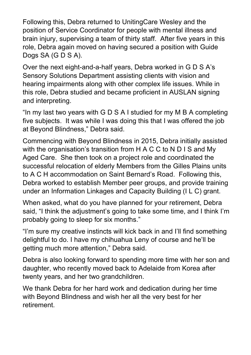Following this, Debra returned to UnitingCare Wesley and the position of Service Coordinator for people with mental illness and brain injury, supervising a team of thirty staff. After five years in this role, Debra again moved on having secured a position with Guide Dogs SA (G D S A).

Over the next eight-and-a-half years, Debra worked in G D S A's Sensory Solutions Department assisting clients with vision and hearing impairments along with other complex life issues. While in this role, Debra studied and became proficient in AUSLAN signing and interpreting.

"In my last two years with G D S A I studied for my M B A completing five subjects. It was while I was doing this that I was offered the job at Beyond Blindness," Debra said.

Commencing with Beyond Blindness in 2015, Debra initially assisted with the organisation's transition from H A C C to N D I S and My Aged Care. She then took on a project role and coordinated the successful relocation of elderly Members from the Gilles Plains units to A C H accommodation on Saint Bernard's Road. Following this, Debra worked to establish Member peer groups, and provide training under an Information Linkages and Capacity Building (I L C) grant.

When asked, what do you have planned for your retirement, Debra said, "I think the adjustment's going to take some time, and I think I'm probably going to sleep for six months."

"I'm sure my creative instincts will kick back in and I'll find something delightful to do. I have my chihuahua Leny of course and he'll be getting much more attention," Debra said.

Debra is also looking forward to spending more time with her son and daughter, who recently moved back to Adelaide from Korea after twenty years, and her two grandchildren.

We thank Debra for her hard work and dedication during her time with Beyond Blindness and wish her all the very best for her retirement.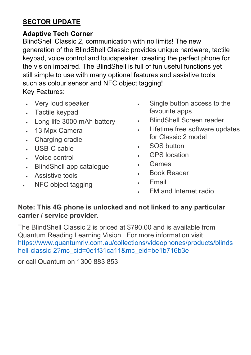#### **SECTOR UPDATE**

#### **Adaptive Tech Corner**

BlindShell Classic 2, communication with no limits! The new generation of the BlindShell Classic provides unique hardware, tactile keypad, voice control and loudspeaker, creating the perfect phone for the vision impaired. The BlindShell is full of fun useful functions yet still simple to use with many optional features and assistive tools such as colour sensor and NFC object tagging! Key Features:

- Very loud speaker
- Tactile keypad
- Long life 3000 mAh battery
- 13 Mpx Camera
- Charging cradle
- USB-C cable
- Voice control
- BlindShell app catalogue
- Assistive tools
- NFC object tagging
- Single button access to the favourite apps
- BlindShell Screen reader
- Lifetime free software updates for Classic 2 model
- SOS button
- **GPS** location
- Games
- Book Reader
- Email
- FM and Internet radio

#### **Note: This 4G phone is unlocked and not linked to any particular carrier / service provider.**

The BlindShell Classic 2 is priced at \$790.00 and is available from Quantum Reading Learning Vision. For more information visit [https://www.quantumrlv.com.au/collections/videophones/products/blinds](https://www.quantumrlv.com.au/collections/videophones/products/blindshell-classic-2?mc_cid=0e1f31ca11&mc_eid=be1b716b3e) [hell-classic-2?mc\\_cid=0e1f31ca11&mc\\_eid=be1b716b3e](https://www.quantumrlv.com.au/collections/videophones/products/blindshell-classic-2?mc_cid=0e1f31ca11&mc_eid=be1b716b3e)

or call Quantum on 1300 883 853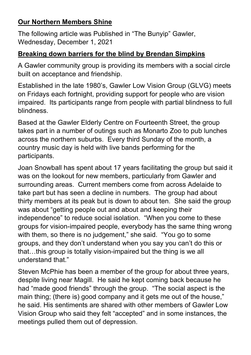#### **Our Northern Members Shine**

The following article was Published in "The Bunyip" Gawler, Wednesday, December 1, 2021

#### **Breaking down barriers for the blind by Brendan Simpkins**

A Gawler community group is providing its members with a social circle built on acceptance and friendship.

Established in the late 1980's, Gawler Low Vision Group (GLVG) meets on Fridays each fortnight, providing support for people who are vision impaired. Its participants range from people with partial blindness to full blindness.

Based at the Gawler Elderly Centre on Fourteenth Street, the group takes part in a number of outings such as Monarto Zoo to pub lunches across the northern suburbs. Every third Sunday of the month, a country music day is held with live bands performing for the participants.

Joan Snowball has spent about 17 years facilitating the group but said it was on the lookout for new members, particularly from Gawler and surrounding areas. Current members come from across Adelaide to take part but has seen a decline in numbers. The group had about thirty members at its peak but is down to about ten. She said the group was about "getting people out and about and keeping their independence" to reduce social isolation. "When you come to these groups for vision-impaired people, everybody has the same thing wrong with them, so there is no judgement," she said. "You go to some groups, and they don't understand when you say you can't do this or that…this group is totally vision-impaired but the thing is we all understand that."

Steven McPhie has been a member of the group for about three years, despite living near Magill. He said he kept coming back because he had "made good friends" through the group. "The social aspect is the main thing; (there is) good company and it gets me out of the house," he said. His sentiments are shared with other members of Gawler Low Vision Group who said they felt "accepted" and in some instances, the meetings pulled them out of depression.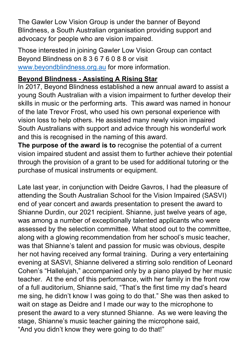The Gawler Low Vision Group is under the banner of Beyond Blindness, a South Australian organisation providing support and advocacy for people who are vision impaired.

Those interested in joining Gawler Low Vision Group can contact Beyond Blindness on 8 3 6 7 6 0 8 8 or visit [www.beyondblindness.org.au](http://www.beyondblindness.org.au/) for more information.

#### **Beyond Blindness - Assisting A Rising Star**

In 2017, Beyond Blindness established a new annual award to assist a young South Australian with a vision impairment to further develop their skills in music or the performing arts. This award was named in honour of the late Trevor Frost, who used his own personal experience with vision loss to help others. He assisted many newly vision impaired South Australians with support and advice through his wonderful work and this is recognised in the naming of this award.

**The purpose of the award is to** recognise the potential of a current vision impaired student and assist them to further achieve their potential through the provision of a grant to be used for additional tutoring or the purchase of musical instruments or equipment.

Late last year, in conjunction with Deidre Gavros, I had the pleasure of attending the South Australian School for the Vision Impaired (SASVI) end of year concert and awards presentation to present the award to Shianne Durdin, our 2021 recipient. Shianne, just twelve years of age, was among a number of exceptionally talented applicants who were assessed by the selection committee. What stood out to the committee, along with a glowing recommendation from her school's music teacher, was that Shianne's talent and passion for music was obvious, despite her not having received any formal training. During a very entertaining evening at SASVI, Shianne delivered a stirring solo rendition of Leonard Cohen's "Hallelujah," accompanied only by a piano played by her music teacher. At the end of this performance, with her family in the front row of a full auditorium, Shianne said, "That's the first time my dad's heard me sing, he didn't know I was going to do that." She was then asked to wait on stage as Deidre and I made our way to the microphone to present the award to a very stunned Shianne. As we were leaving the stage, Shianne's music teacher gaining the microphone said, "And you didn't know they were going to do that!"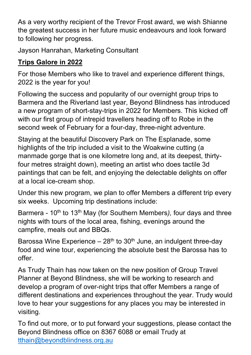As a very worthy recipient of the Trevor Frost award, we wish Shianne the greatest success in her future music endeavours and look forward to following her progress.

Jayson Hanrahan, Marketing Consultant

## **Trips Galore in 2022**

For those Members who like to travel and experience different things, 2022 is the year for you!

Following the success and popularity of our overnight group trips to Barmera and the Riverland last year, Beyond Blindness has introduced a new program of short-stay-trips in 2022 for Members. This kicked off with our first group of intrepid travellers heading off to Robe in the second week of February for a four-day, three-night adventure.

Staying at the beautiful Discovery Park on The Esplanade, some highlights of the trip included a visit to the Woakwine cutting (a manmade gorge that is one kilometre long and, at its deepest, thirtyfour metres straight down), meeting an artist who does tactile 3d paintings that can be felt, and enjoying the delectable delights on offer at a local ice-cream shop.

Under this new program, we plan to offer Members a different trip every six weeks. Upcoming trip destinations include:

Barmera - 10<sup>th</sup> to 13<sup>th</sup> May (for Southern Members), four days and three nights with tours of the local area, fishing, evenings around the campfire, meals out and BBQs.

Barossa Wine Experience  $-28<sup>th</sup>$  to 30<sup>th</sup> June, an indulgent three-day food and wine tour, experiencing the absolute best the Barossa has to offer.

As Trudy Thain has now taken on the new position of Group Travel Planner at Beyond Blindness, she will be working to research and develop a program of over-night trips that offer Members a range of different destinations and experiences throughout the year. Trudy would love to hear your suggestions for any places you may be interested in visiting.

To find out more, or to put forward your suggestions, please contact the Beyond Blindness office on 8367 6088 or email Trudy at [tthain@beyondblindness.org.au](mailto:tthain@beyondblindness.org.au)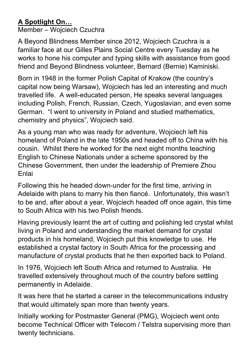## **A Spotlight On…**

Member – Wojciech Czuchra

A Beyond Blindness Member since 2012, Wojciech Czuchra is a familiar face at our Gilles Plains Social Centre every Tuesday as he works to hone his computer and typing skills with assistance from good friend and Beyond Blindness volunteer, Bernard (Bernie) Kaminiski.

Born in 1948 in the former Polish Capital of Krakow (the country's capital now being Warsaw), Wojciech has led an interesting and much travelled life. A well-educated person, He speaks several languages including Polish, French, Russian, Czech, Yugoslavian, and even some German. "I went to university in Poland and studied mathematics, chemistry and physics", Wojciech said.

As a young man who was ready for adventure, Wojciech left his homeland of Poland in the late 1950s and headed off to China with his cousin. Whilst there he worked for the next eight months teaching English to Chinese Nationals under a scheme sponsored by the Chinese Government, then under the leadership of Premiere Zhou Enlai

Following this he headed down-under for the first time, arriving in Adelaide with plans to marry his then fiancé. Unfortunately, this wasn't to be and, after about a year, Wojciech headed off once again, this time to South Africa with his two Polish friends.

Having previously learnt the art of cutting and polishing led crystal whilst living in Poland and understanding the market demand for crystal products in his homeland, Wojciech put this knowledge to use. He established a crystal factory in South Africa for the processing and manufacture of crystal products that he then exported back to Poland.

In 1976, Wojciech left South Africa and returned to Australia. He travelled extensively throughout much of the country before settling permanently in Adelaide.

It was here that he started a career in the telecommunications industry that would ultimately span more than twenty years.

Initially working for Postmaster General (PMG), Wojciech went onto become Technical Officer with Telecom / Telstra supervising more than twenty technicians.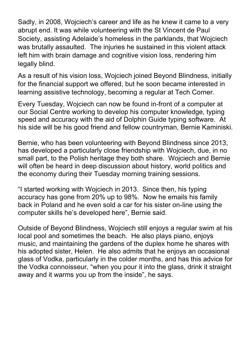Sadly, in 2008, Wojciech's career and life as he knew it came to a very abrupt end. It was while volunteering with the St Vincent de Paul Society, assisting Adelaide's homeless in the parklands, that Wojciech was brutally assaulted. The injuries he sustained in this violent attack left him with brain damage and cognitive vision loss, rendering him legally blind.

As a result of his vision loss, Wojciech joined Beyond Blindness, initially for the financial support we offered, but he soon became interested in learning assistive technology, becoming a regular at Tech Corner.

Every Tuesday, Wojciech can now be found in-front of a computer at our Social Centre working to develop his computer knowledge, typing speed and accuracy with the aid of Dolphin Guide typing software. At his side will be his good friend and fellow countryman, Bernie Kaminiski.

Bernie, who has been volunteering with Beyond Blindness since 2013, has developed a particularly close friendship with Wojciech, due, in no small part, to the Polish heritage they both share. Wojciech and Bernie will often be heard in deep discussion about history, world politics and the economy during their Tuesday morning training sessions.

"I started working with Wojciech in 2013. Since then, his typing accuracy has gone from 20% up to 98%. Now he emails his family back in Poland and he even sold a car for his sister on-line using the computer skills he's developed here", Bernie said.

Outside of Beyond Blindness, Wojciech still enjoys a regular swim at his local pool and sometimes the beach. He also plays piano, enjoys music, and maintaining the gardens of the duplex home he shares with his adopted sister, Helen. He also admits that he enjoys an occasional glass of Vodka, particularly in the colder months, and has this advice for the Vodka connoisseur, "when you pour it into the glass, drink it straight away and it warms you up from the inside", he says.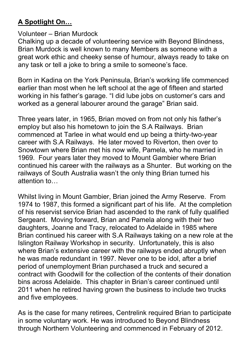## **A Spotlight On…**

#### Volunteer – Brian Murdock

Chalking up a decade of volunteering service with Beyond Blindness, Brian Murdock is well known to many Members as someone with a great work ethic and cheeky sense of humour, always ready to take on any task or tell a joke to bring a smile to someone's face.

Born in Kadina on the York Peninsula, Brian's working life commenced earlier than most when he left school at the age of fifteen and started working in his father's garage. "I did lube jobs on customer's cars and worked as a general labourer around the garage" Brian said.

Three years later, in 1965, Brian moved on from not only his father's employ but also his hometown to join the S.A Railways. Brian commenced at Tarlee in what would end up being a thirty-two-year career with S.A Railways. He later moved to Riverton, then over to Snowtown where Brian met his now wife, Pamela, who he married in 1969. Four years later they moved to Mount Gambier where Brian continued his career with the railways as a Shunter. But working on the railways of South Australia wasn't the only thing Brian turned his attention to…

Whilst living in Mount Gambier, Brian joined the Army Reserve. From 1974 to 1987, this formed a significant part of his life. At the completion of his reservist service Brian had ascended to the rank of fully qualified Sergeant. Moving forward, Brian and Pamela along with their two daughters, Joanne and Tracy, relocated to Adelaide in 1985 where Brian continued his career with S.A Railways taking on a new role at the Islington Railway Workshop in security. Unfortunately, this is also where Brian's extensive career with the railways ended abruptly when he was made redundant in 1997. Never one to be idol, after a brief period of unemployment Brian purchased a truck and secured a contract with Goodwill for the collection of the contents of their donation bins across Adelaide. This chapter in Brian's career continued until 2011 when he retired having grown the business to include two trucks and five employees.

As is the case for many retirees, Centrelink required Brian to participate in some voluntary work. He was introduced to Beyond Blindness through Northern Volunteering and commenced in February of 2012.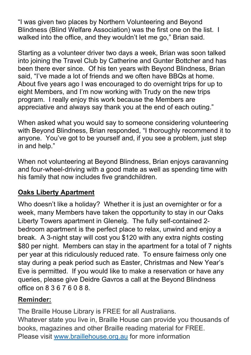"I was given two places by Northern Volunteering and Beyond Blindness (Blind Welfare Association) was the first one on the list. I walked into the office, and they wouldn't let me go," Brian said.

Starting as a volunteer driver two days a week, Brian was soon talked into joining the Travel Club by Catherine and Gunter Bottcher and has been there ever since. Of his ten years with Beyond Blindness, Brian said, "I've made a lot of friends and we often have BBQs at home. About five years ago I was encouraged to do overnight trips for up to eight Members, and I'm now working with Trudy on the new trips program. I really enjoy this work because the Members are appreciative and always say thank you at the end of each outing."

When asked what you would say to someone considering volunteering with Beyond Blindness, Brian responded, "I thoroughly recommend it to anyone. You've got to be yourself and, if you see a problem, just step in and help."

When not volunteering at Beyond Blindness, Brian enjoys caravanning and four-wheel-driving with a good mate as well as spending time with his family that now includes five grandchildren.

## **Oaks Liberty Apartment**

Who doesn't like a holiday? Whether it is just an overnighter or for a week, many Members have taken the opportunity to stay in our Oaks Liberty Towers apartment in Glenelg. The fully self-contained 2 bedroom apartment is the perfect place to relax, unwind and enjoy a break. A 3-night stay will cost you \$120 with any extra nights costing \$80 per night. Members can stay in the apartment for a total of 7 nights per year at this ridiculously reduced rate. To ensure fairness only one stay during a peak period such as Easter, Christmas and New Year's Eve is permitted. If you would like to make a reservation or have any queries, please give Deidre Gavros a call at the Beyond Blindness office on 8 3 6 7 6 0 8 8.

#### **Reminder:**

The Braille House Library is FREE for all Australians. Whatever state you live in, Braille House can provide you thousands of books, magazines and other Braille reading material for FREE. Please visit [www.braillehouse.org.au](http://www.braillehouse.org.au/) for more information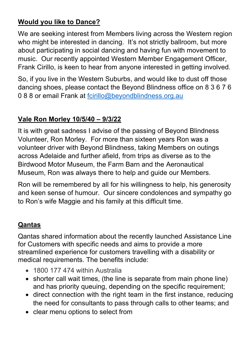## **Would you like to Dance?**

We are seeking interest from Members living across the Western region who might be interested in dancing. It's not strictly ballroom, but more about participating in social dancing and having fun with movement to music. Our recently appointed Western Member Engagement Officer, Frank Cirillo, is keen to hear from anyone interested in getting involved.

So, if you live in the Western Suburbs, and would like to dust off those dancing shoes, please contact the Beyond Blindness office on 8 3 6 7 6 0 8 8 or email Frank at [fcirillo@beyondblindness.org.au](mailto:fcirillo@beyondblindness.org.au)

## **Vale Ron Morley 10/5/40 – 9/3/22**

It is with great sadness I advise of the passing of Beyond Blindness Volunteer, Ron Morley. For more than sixteen years Ron was a volunteer driver with Beyond Blindness, taking Members on outings across Adelaide and further afield, from trips as diverse as to the Birdwood Motor Museum, the Farm Barn and the Aeronautical Museum, Ron was always there to help and guide our Members.

Ron will be remembered by all for his willingness to help, his generosity and keen sense of humour. Our sincere condolences and sympathy go to Ron's wife Maggie and his family at this difficult time.

#### **Qantas**

Qantas shared information about the recently launched Assistance Line for Customers with specific needs and aims to provide a more streamlined experience for customers travelling with a disability or medical requirements. The benefits include:

- 1800 177 474 within Australia
- shorter call wait times, (the line is separate from main phone line) and has priority queuing, depending on the specific requirement;
- direct connection with the right team in the first instance, reducing the need for consultants to pass through calls to other teams; and
- clear menu options to select from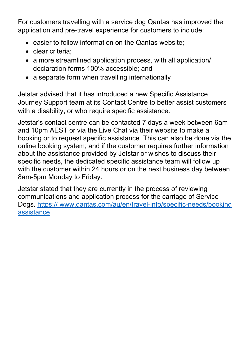For customers travelling with a service dog Qantas has improved the application and pre-travel experience for customers to include:

- easier to follow information on the Qantas website;
- clear criteria:
- a more streamlined application process, with all application/ declaration forms 100% accessible; and
- a separate form when travelling internationally

Jetstar advised that it has introduced a new Specific Assistance Journey Support team at its Contact Centre to better assist customers with a disability, or who require specific assistance.

Jetstar's contact centre can be contacted 7 days a week between 6am and 10pm AEST or via the Live Chat via their website to make a booking or to request specific assistance. This can also be done via the online booking system; and if the customer requires further information about the assistance provided by Jetstar or wishes to discuss their specific needs, the dedicated specific assistance team will follow up with the customer within 24 hours or on the next business day between 8am-5pm Monday to Friday.

Jetstar stated that they are currently in the process of reviewing communications and application process for the carriage of Service Dogs. https:// www.qantas.com/au/en/travel-info/specific-needs/booking **assistance**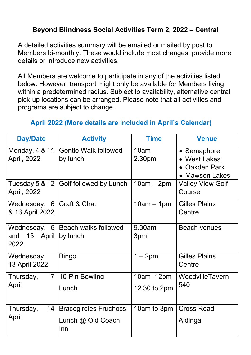#### **Beyond Blindness Social Activities Term 2, 2022 – Central**

A detailed activities summary will be emailed or mailed by post to Members bi-monthly. These would include most changes, provide more details or introduce new activities.

All Members are welcome to participate in any of the activities listed below. However, transport might only be available for Members living within a predetermined radius. Subject to availability, alternative central pick-up locations can be arranged. Please note that all activities and programs are subject to change.

#### **April 2022 (More details are included in April's Calendar)**

| <b>Day/Date</b>                            | <b>Activity</b>                                          | <b>Time</b>                | <b>Venue</b>                                                   |
|--------------------------------------------|----------------------------------------------------------|----------------------------|----------------------------------------------------------------|
| Monday, 4 & 11<br>April, 2022              | <b>Gentle Walk followed</b><br>by lunch                  | $10am -$<br>2.30pm         | • Semaphore<br>• West Lakes<br>• Oakden Park<br>• Mawson Lakes |
| Tuesday 5 & 12<br>April, 2022              | Golf followed by Lunch                                   | $10am - 2pm$               | <b>Valley View Golf</b><br>Course                              |
| Wednesday, 6<br>& 13 April 2022            | Craft & Chat                                             | $10am - 1pm$               | <b>Gilles Plains</b><br>Centre                                 |
| Wednesday,<br>6<br>13 April<br>and<br>2022 | <b>Beach walks followed</b><br>by lunch                  | $9.30$ am $-$<br>3pm       | <b>Beach venues</b>                                            |
| Wednesday,<br>13 April 2022                | <b>Bingo</b>                                             | $1 - 2pm$                  | <b>Gilles Plains</b><br>Centre                                 |
| $\overline{7}$<br>Thursday,<br>April       | 10-Pin Bowling<br>Lunch                                  | 10am -12pm<br>12.30 to 2pm | WoodvilleTavern<br>540                                         |
| Thursday,<br>14<br>April                   | <b>Bracegirdles Fruchocs</b><br>Lunch @ Old Coach<br>Inn | 10am to 3pm                | <b>Cross Road</b><br>Aldinga                                   |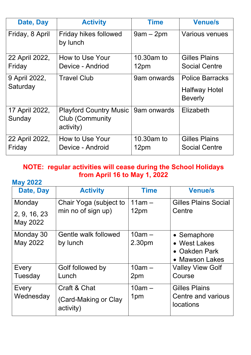| Date, Day                 | <b>Activity</b>                                                      | <b>Time</b>        | <b>Venue/s</b>                                                   |
|---------------------------|----------------------------------------------------------------------|--------------------|------------------------------------------------------------------|
| Friday, 8 April           | Friday hikes followed<br>by lunch                                    | $9am - 2pm$        | <b>Various venues</b>                                            |
| 22 April 2022,            | How to Use Your                                                      | 10.30am to         | <b>Gilles Plains</b>                                             |
| Friday                    | Device - Andriod                                                     | 12pm               | <b>Social Centre</b>                                             |
| 9 April 2022,<br>Saturday | <b>Travel Club</b>                                                   | 9am onwards        | <b>Police Barracks</b><br><b>Halfway Hotel</b><br><b>Beverly</b> |
| 17 April 2022,<br>Sunday  | <b>Playford Country Music</b><br><b>Club (Community</b><br>activity) | 9am onwards        | Elizabeth                                                        |
| 22 April 2022,<br>Friday  | How to Use Your<br>Device - Android                                  | 10.30am to<br>12pm | <b>Gilles Plains</b><br><b>Social Centre</b>                     |

#### **NOTE: regular activities will cease during the School Holidays from April 16 to May 1, 2022**

#### **May 2022**

| Date, Day                | <b>Activity</b>                   | <b>Time</b> | <b>Venue/s</b>                         |
|--------------------------|-----------------------------------|-------------|----------------------------------------|
| Monday                   | Chair Yoga (subject to            | $11am -$    | <b>Gilles Plains Social</b>            |
| 2, 9, 16, 23<br>May 2022 | min no of sign up)                | 12pm        | Centre                                 |
| Monday 30                | Gentle walk followed              | $10am -$    | • Semaphore                            |
| May 2022                 | by lunch                          | 2.30pm      | • West Lakes                           |
|                          |                                   |             | • Oakden Park                          |
|                          |                                   |             | • Mawson Lakes                         |
| Every                    | Golf followed by                  | $10am -$    | <b>Valley View Golf</b>                |
| Tuesday                  | Lunch                             | 2pm         | Course                                 |
| Every                    | Craft & Chat                      | $10am -$    | <b>Gilles Plains</b>                   |
| Wednesday                | (Card-Making or Clay<br>activity) | 1pm         | Centre and various<br><b>locations</b> |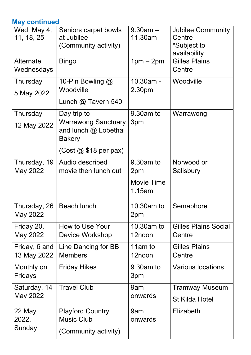#### **May continued**

| Wed, May 4,<br>11, 18, 25    | Seniors carpet bowls<br>at Jubilee<br>(Community activity)                                                            | $9.30am -$<br>11.30am                           | <b>Jubilee Community</b><br>Centre<br>*Subject to<br>availability |
|------------------------------|-----------------------------------------------------------------------------------------------------------------------|-------------------------------------------------|-------------------------------------------------------------------|
| Alternate<br>Wednesdays      | <b>Bingo</b>                                                                                                          | $1pm-2pm$                                       | <b>Gilles Plains</b><br>Centre                                    |
| Thursday<br>5 May 2022       | 10-Pin Bowling $@$<br>Woodville<br>Lunch $@$ Tavern 540                                                               | 10.30am -<br>2.30pm                             | Woodville                                                         |
| Thursday<br>12 May 2022      | Day trip to<br><b>Warrawong Sanctuary</b><br>and lunch @ Lobethal<br><b>Bakery</b><br>$(Cost \& $18 \text{ per pax})$ | 9.30am to<br>3pm                                | Warrawong                                                         |
| Thursday, 19<br>May 2022     | Audio described<br>movie then lunch out                                                                               | 9.30am to<br>2pm<br><b>Movie Time</b><br>1.15am | Norwood or<br>Salisbury                                           |
| Thursday, 26<br>May 2022     | <b>Beach lunch</b>                                                                                                    | 10.30am to<br>2pm                               | Semaphore                                                         |
| Friday 20,<br>May 2022       | How to Use Your<br>Device Workshop                                                                                    | 10.30am to<br>12noon                            | <b>Gilles Plains Social</b><br>Centre                             |
| Friday, 6 and<br>13 May 2022 | Line Dancing for BB<br><b>Members</b>                                                                                 | 11am to<br>12noon                               | <b>Gilles Plains</b><br>Centre                                    |
| Monthly on<br>Fridays        | <b>Friday Hikes</b>                                                                                                   | 9.30am to<br>3pm                                | <b>Various locations</b>                                          |
| Saturday, 14<br>May 2022     | <b>Travel Club</b>                                                                                                    | 9am<br>onwards                                  | <b>Tramway Museum</b><br><b>St Kilda Hotel</b>                    |
| 22 May<br>2022,<br>Sunday    | <b>Playford Country</b><br><b>Music Club</b><br>(Community activity)                                                  | 9am<br>onwards                                  | <b>Elizabeth</b>                                                  |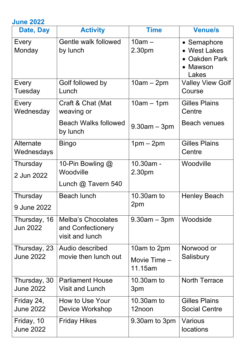| <b>June 2022</b>                 |                                                                   |                                        |                                                                   |
|----------------------------------|-------------------------------------------------------------------|----------------------------------------|-------------------------------------------------------------------|
| Date, Day                        | <b>Activity</b>                                                   | <b>Time</b>                            | <b>Venue/s</b>                                                    |
| Every<br>Monday                  | Gentle walk followed<br>by lunch                                  | $10am -$<br>2.30pm                     | • Semaphore<br>• West Lakes<br>• Oakden Park<br>• Mawson<br>Lakes |
| Every<br>Tuesday                 | Golf followed by<br>Lunch                                         | $10am - 2pm$                           | <b>Valley View Golf</b><br>Course                                 |
| Every<br>Wednesday               | Craft & Chat (Mat<br>weaving or                                   | $10am - 1pm$                           | <b>Gilles Plains</b><br>Centre                                    |
|                                  | <b>Beach Walks followed</b><br>by lunch                           | $9.30am - 3pm$                         | <b>Beach venues</b>                                               |
| Alternate<br>Wednesdays          | <b>Bingo</b>                                                      | $1pm - 2pm$                            | <b>Gilles Plains</b><br>Centre                                    |
| Thursday<br>2 Jun 2022           | 10-Pin Bowling $@$<br>Woodville<br>Lunch $@$ Tavern 540           | 10.30am -<br>2.30pm                    | Woodville                                                         |
| Thursday<br>9 June 2022          | <b>Beach lunch</b>                                                | 10.30am to<br>2pm                      | <b>Henley Beach</b>                                               |
| Thursday, 16<br><b>Jun 2022</b>  | <b>Melba's Chocolates</b><br>and Confectionery<br>visit and lunch | $9.30$ am $-3$ pm                      | Woodside                                                          |
| Thursday, 23<br><b>June 2022</b> | Audio described<br>movie then lunch out                           | 10am to 2pm<br>Movie Time -<br>11.15am | Norwood or<br>Salisbury                                           |
| Thursday, 30<br><b>June 2022</b> | <b>Parliament House</b><br><b>Visit and Lunch</b>                 | 10.30am to<br>3pm                      | <b>North Terrace</b>                                              |
| Friday 24,<br><b>June 2022</b>   | How to Use Your<br>Device Workshop                                | 10.30am to<br>12noon                   | <b>Gilles Plains</b><br><b>Social Centre</b>                      |
| Friday, 10<br><b>June 2022</b>   | <b>Friday Hikes</b>                                               | 9.30am to 3pm                          | Various<br><b>locations</b>                                       |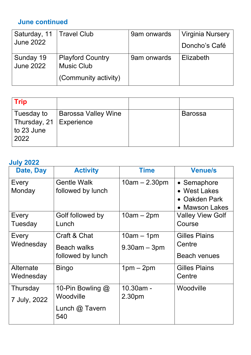## **June continued**

| Saturday, 11   Travel Club |                         | 9am onwards | <b>Virginia Nursery</b> |
|----------------------------|-------------------------|-------------|-------------------------|
| <b>June 2022</b>           |                         |             | Doncho's Café           |
| Sunday 19                  | <b>Playford Country</b> | 9am onwards | Elizabeth               |
| <b>June 2022</b>           | <b>Music Club</b>       |             |                         |
|                            | (Community activity)    |             |                         |

| $ $ Trip                  |                     |                |
|---------------------------|---------------------|----------------|
| Tuesday to                | Barossa Valley Wine | <b>Barossa</b> |
| Thursday, 21   Experience |                     |                |
| $\vert$ to 23 June        |                     |                |
| 2022                      |                     |                |

#### **July 2022**

| Date, Day                | <b>Activity</b>                                            | <b>Time</b>                       | <b>Venue/s</b>                                                 |
|--------------------------|------------------------------------------------------------|-----------------------------------|----------------------------------------------------------------|
| Every<br>Monday          | <b>Gentle Walk</b><br>followed by lunch                    | $10am - 2.30pm$                   | • Semaphore<br>• West Lakes<br>• Oakden Park<br>• Mawson Lakes |
| Every<br>Tuesday         | Golf followed by<br>Lunch                                  | $10am - 2pm$                      | <b>Valley View Golf</b><br>Course                              |
| Every<br>Wednesday       | Craft & Chat<br><b>Beach walks</b><br>followed by lunch    | $10am - 1pm$<br>$9.30$ am $-3$ pm | <b>Gilles Plains</b><br>Centre<br><b>Beach venues</b>          |
| Alternate<br>Wednesday   | <b>Bingo</b>                                               | $1pm - 2pm$                       | <b>Gilles Plains</b><br>Centre                                 |
| Thursday<br>7 July, 2022 | 10-Pin Bowling $@$<br>Woodville<br>Lunch $@$ Tavern<br>540 | 10.30am -<br>2.30pm               | Woodville                                                      |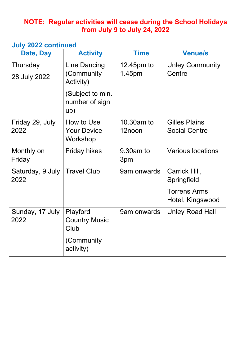#### **NOTE: Regular activities will cease during the School Holidays from July 9 to July 24, 2022**

#### **July 2022 continued**

| Date, Day                | <b>Activity</b>                                | <b>Time</b>          | <b>Venue/s</b>                               |
|--------------------------|------------------------------------------------|----------------------|----------------------------------------------|
| Thursday<br>28 July 2022 | <b>Line Dancing</b><br>(Community<br>Activity) | 12.45pm to<br>1.45pm | <b>Unley Community</b><br>Centre             |
|                          | (Subject to min.<br>number of sign<br>up)      |                      |                                              |
| Friday 29, July<br>2022  | How to Use<br><b>Your Device</b><br>Workshop   | 10.30am to<br>12noon | <b>Gilles Plains</b><br><b>Social Centre</b> |
| Monthly on<br>Friday     | <b>Friday hikes</b>                            | $9.30$ am to<br>3pm  | <b>Various locations</b>                     |
| Saturday, 9 July<br>2022 | <b>Travel Club</b>                             | 9am onwards          | Carrick Hill,<br>Springfield                 |
|                          |                                                |                      | <b>Torrens Arms</b><br>Hotel, Kingswood      |
| Sunday, 17 July<br>2022  | Playford<br><b>Country Music</b><br>Club       | 9am onwards          | <b>Unley Road Hall</b>                       |
|                          | (Community<br>activity)                        |                      |                                              |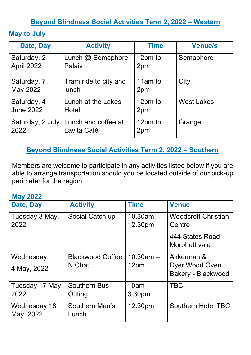#### **Beyond Blindness Social Activities Term 2, 2022 – Western**

#### **May to July**

| Date, Day        | <b>Activity</b>                                       | <b>Time</b>    | <b>Venue/s</b>    |
|------------------|-------------------------------------------------------|----------------|-------------------|
| Saturday, 2      | Lunch @ Semaphore                                     | 12pm to        | Semaphore         |
| April 2022       | Palais                                                | 2pm            |                   |
| Saturday, 7      | Tram ride to city and                                 | 11am to        | City              |
| May 2022         | lunch                                                 | 2pm            |                   |
| Saturday, 4      | Lunch at the Lakes                                    | 12pm to        | <b>West Lakes</b> |
| <b>June 2022</b> | Hotel                                                 | 2pm            |                   |
| 2022             | Saturday, 2 July   Lunch and coffee at<br>Lavita Café | 12pm to<br>2pm | Grange            |

#### **Beyond Blindness Social Activities Term 2, 2022 – Southern**

Members are welcome to participate in any activities listed below if you are able to arrange transportation should you be located outside of our pick-up perimeter for the region.

#### **May 2022**

| Date, Day                 | <b>Activity</b>                | <b>Time</b>          | <b>Venue</b>                         |
|---------------------------|--------------------------------|----------------------|--------------------------------------|
| Tuesday 3 May,<br>2022    | Social Catch up                | 10.30am -<br>12.30pm | <b>Woodcroft Christian</b><br>Centre |
|                           |                                |                      | 444 States Road<br>Morphett vale     |
| Wednesday                 | <b>Blackwood Coffee</b>        | $10.30$ am $-$       | Akkerman &                           |
| 4 May, 2022               | N Chat                         | 12pm                 | Dyer Wood Oven<br>Bakery - Blackwood |
| Tuesday 17 May,           | <b>Southern Bus</b>            | $10am -$             | <b>TBC</b>                           |
| 2022                      | Outing                         | 3.30pm               |                                      |
| Wednesday 18<br>May, 2022 | <b>Southern Men's</b><br>Lunch | 12.30pm              | <b>Southern Hotel TBC</b>            |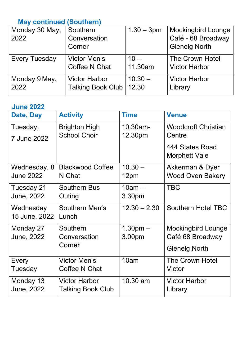## **May continued (Southern)**

| Monday 30 May,       | Southern                 | $1.30 - 3pm$ | Mockingbird Lounge   |
|----------------------|--------------------------|--------------|----------------------|
| 2022                 | Conversation             |              | Café - 68 Broadway   |
|                      | Corner                   |              | <b>Glenelg North</b> |
| <b>Every Tuesday</b> | <b>Victor Men's</b>      | $10 -$       | The Crown Hotel      |
|                      | <b>Coffee N Chat</b>     | 11.30am      | <b>Victor Harbor</b> |
| Monday 9 May,        | <b>Victor Harbor</b>     | $10.30 -$    | <b>Victor Harbor</b> |
| 2022                 | <b>Talking Book Club</b> | 12.30        | Library              |
|                      |                          |              |                      |

#### **June 2022**

| Date, Day        | <b>Activity</b>          | <b>Time</b>        | <b>Venue</b>                            |
|------------------|--------------------------|--------------------|-----------------------------------------|
| Tuesday,         | <b>Brighton High</b>     | 10.30am-           | <b>Woodcroft Christian</b>              |
| 7 June 2022      | <b>School Choir</b>      | 12.30pm            | Centre                                  |
|                  |                          |                    | 444 States Road<br><b>Morphett Vale</b> |
| Wednesday, 8     | <b>Blackwood Coffee</b>  | $10.30 -$          | Akkerman & Dyer                         |
| <b>June 2022</b> | N Chat                   | 12pm               | <b>Wood Oven Bakery</b>                 |
| Tuesday 21       | <b>Southern Bus</b>      | $10am -$           | <b>TBC</b>                              |
| June, 2022       | Outing                   | 3.30pm             |                                         |
| Wednesday        | Southern Men's           | $12.30 - 2.30$     | <b>Southern Hotel TBC</b>               |
| 15 June, 2022    | Lunch                    |                    |                                         |
| Monday 27        | Southern                 | 1.30 <sub>pm</sub> | <b>Mockingbird Lounge</b>               |
| June, 2022       | Conversation             | 3.00pm             | Café 68 Broadway                        |
|                  | Corner                   |                    | <b>Glenelg North</b>                    |
| Every            | <b>Victor Men's</b>      | 10am               | <b>The Crown Hotel</b>                  |
| Tuesday          | Coffee N Chat            |                    | Victor                                  |
| Monday 13        | <b>Victor Harbor</b>     | 10.30 am           | <b>Victor Harbor</b>                    |
| June, 2022       | <b>Talking Book Club</b> |                    | Library                                 |